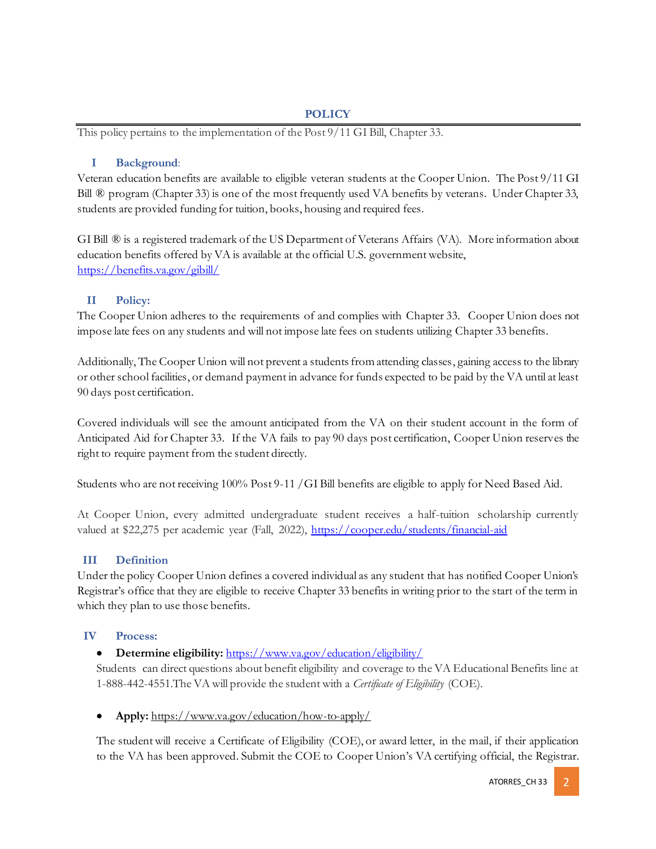#### **POLICY**

This policy pertains to the implementation of the Post 9/11 GI Bill, Chapter 33.

### **I Background**:

Veteran education benefits are available to eligible veteran students at the Cooper Union. The Post 9/11 GI Bill ® program (Chapter 33) is one of the most frequently used VA benefits by veterans. Under Chapter 33, students are provided funding for tuition, books, housing and required fees.

GI Bill ® is a registered trademark of the US Department of Veterans Affairs (VA). More information about education benefits offered by VA is available at the official U.S. government website, https://benefits.va.gov/gibill/

# **II Policy:**

The Cooper Union adheres to the requirements of and complies with Chapter 33. Cooper Union does not impose late fees on any students and will not impose late fees on students utilizing Chapter 33 benefits.

Additionally, The Cooper Union will not prevent a students from attending classes, gaining access to the library or other school facilities, or demand payment in advance for funds expected to be paid by the VA until at least 90 days post certification.

Covered individuals will see the amount anticipated from the VA on their student account in the form of Anticipated Aid for Chapter 33. If the VA fails to pay 90 days post certification, Cooper Union reserves the right to require payment from the student directly.

Students who are not receiving 100% Post 9-11 /GI Bill benefits are eligible to apply for Need Based Aid.

At Cooper Union, every admitted undergraduate student receives a half-tuition scholarship currently valued at \$22,275 per academic year (Fall, 2022), https://cooper.edu/students/financial-aid

# **III Definition**

Under the policy Cooper Union defines a covered individual as any student that has notified Cooper Union's Registrar's office that they are eligible to receive Chapter 33 benefits in writing prior to the start of the term in which they plan to use those benefits.

#### **IV Process:**

# • **Determine eligibility:** https://www.va.gov/education/eligibility/

Students can direct questions about benefit eligibility and coverage to the VA Educational Benefits line at 1-888-442-4551.The VA will provide the student with a *Certificate of Eligibility* (COE).

• **Apply:** https://www.va.gov/education/how-to-apply/

The student will receive a Certificate of Eligibility (COE), or award letter, in the mail, if their application to the VA has been approved. Submit the COE to Cooper Union's VA certifying official, the Registrar.